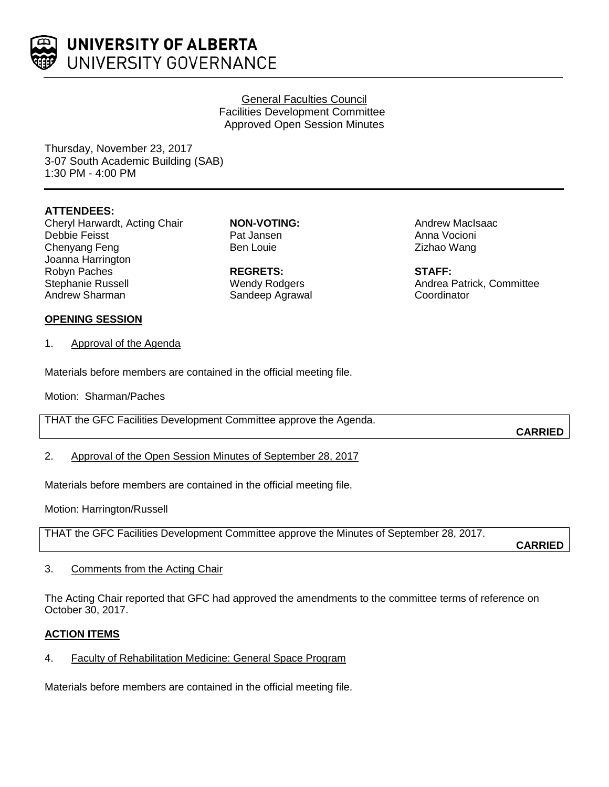

UNIVERSITY OF ALBERTA UNIVERSITY GOVERNANCE

# General Faculties Council Facilities Development Committee Approved Open Session Minutes

Thursday, November 23, 2017 3-07 South Academic Building (SAB) 1:30 PM - 4:00 PM

# **ATTENDEES:**

Cheryl Harwardt, Acting Chair Debbie Feisst Chenyang Feng Joanna Harrington Robyn Paches Stephanie Russell Andrew Sharman

**NON-VOTING:** Pat Jansen Ben Louie

**REGRETS:** Wendy Rodgers Sandeep Agrawal Andrew MacIsaac Anna Vocioni Zizhao Wang

**STAFF:** Andrea Patrick, Committee **Coordinator** 

## **OPENING SESSION**

1. Approval of the Agenda

Materials before members are contained in the official meeting file.

Motion: Sharman/Paches

THAT the GFC Facilities Development Committee approve the Agenda.

**CARRIED**

2. Approval of the Open Session Minutes of September 28, 2017

Materials before members are contained in the official meeting file.

Motion: Harrington/Russell

THAT the GFC Facilities Development Committee approve the Minutes of September 28, 2017.

**CARRIED**

3. Comments from the Acting Chair

The Acting Chair reported that GFC had approved the amendments to the committee terms of reference on October 30, 2017.

## **ACTION ITEMS**

4. Faculty of Rehabilitation Medicine: General Space Program

Materials before members are contained in the official meeting file.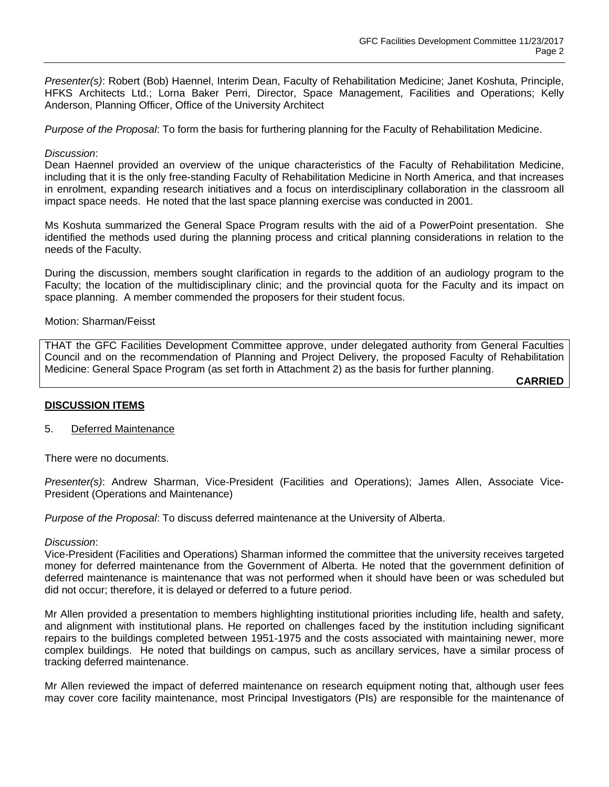*Presenter(s)*: Robert (Bob) Haennel, Interim Dean, Faculty of Rehabilitation Medicine; Janet Koshuta, Principle, HFKS Architects Ltd.; Lorna Baker Perri, Director, Space Management, Facilities and Operations; Kelly Anderson, Planning Officer, Office of the University Architect

*Purpose of the Proposal*: To form the basis for furthering planning for the Faculty of Rehabilitation Medicine.

#### *Discussion*:

Dean Haennel provided an overview of the unique characteristics of the Faculty of Rehabilitation Medicine, including that it is the only free-standing Faculty of Rehabilitation Medicine in North America, and that increases in enrolment, expanding research initiatives and a focus on interdisciplinary collaboration in the classroom all impact space needs. He noted that the last space planning exercise was conducted in 2001.

Ms Koshuta summarized the General Space Program results with the aid of a PowerPoint presentation. She identified the methods used during the planning process and critical planning considerations in relation to the needs of the Faculty.

During the discussion, members sought clarification in regards to the addition of an audiology program to the Faculty; the location of the multidisciplinary clinic; and the provincial quota for the Faculty and its impact on space planning. A member commended the proposers for their student focus.

#### Motion: Sharman/Feisst

THAT the GFC Facilities Development Committee approve, under delegated authority from General Faculties Council and on the recommendation of Planning and Project Delivery, the proposed Faculty of Rehabilitation Medicine: General Space Program (as set forth in Attachment 2) as the basis for further planning.

**CARRIED**

## **DISCUSSION ITEMS**

5. Deferred Maintenance

There were no documents.

*Presenter(s)*: Andrew Sharman, Vice-President (Facilities and Operations); James Allen, Associate Vice-President (Operations and Maintenance)

*Purpose of the Proposal*: To discuss deferred maintenance at the University of Alberta.

#### *Discussion*:

Vice-President (Facilities and Operations) Sharman informed the committee that the university receives targeted money for deferred maintenance from the Government of Alberta. He noted that the government definition of deferred maintenance is maintenance that was not performed when it should have been or was scheduled but did not occur; therefore, it is delayed or deferred to a future period.

Mr Allen provided a presentation to members highlighting institutional priorities including life, health and safety, and alignment with institutional plans. He reported on challenges faced by the institution including significant repairs to the buildings completed between 1951-1975 and the costs associated with maintaining newer, more complex buildings. He noted that buildings on campus, such as ancillary services, have a similar process of tracking deferred maintenance.

Mr Allen reviewed the impact of deferred maintenance on research equipment noting that, although user fees may cover core facility maintenance, most Principal Investigators (PIs) are responsible for the maintenance of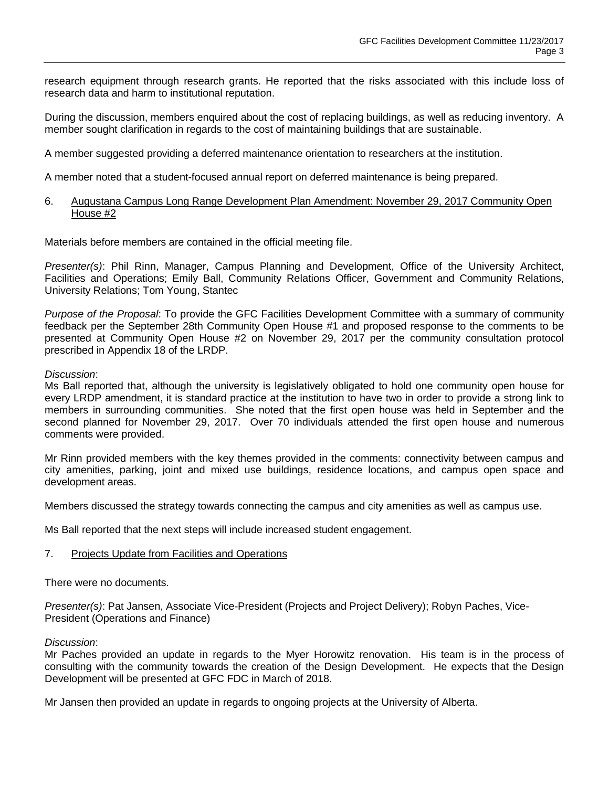research equipment through research grants. He reported that the risks associated with this include loss of research data and harm to institutional reputation.

During the discussion, members enquired about the cost of replacing buildings, as well as reducing inventory. A member sought clarification in regards to the cost of maintaining buildings that are sustainable.

A member suggested providing a deferred maintenance orientation to researchers at the institution.

A member noted that a student-focused annual report on deferred maintenance is being prepared.

#### 6. Augustana Campus Long Range Development Plan Amendment: November 29, 2017 Community Open House #2

Materials before members are contained in the official meeting file.

*Presenter(s)*: Phil Rinn, Manager, Campus Planning and Development, Office of the University Architect, Facilities and Operations; Emily Ball, Community Relations Officer, Government and Community Relations, University Relations; Tom Young, Stantec

*Purpose of the Proposal*: To provide the GFC Facilities Development Committee with a summary of community feedback per the September 28th Community Open House #1 and proposed response to the comments to be presented at Community Open House #2 on November 29, 2017 per the community consultation protocol prescribed in Appendix 18 of the LRDP.

#### *Discussion*:

Ms Ball reported that, although the university is legislatively obligated to hold one community open house for every LRDP amendment, it is standard practice at the institution to have two in order to provide a strong link to members in surrounding communities. She noted that the first open house was held in September and the second planned for November 29, 2017. Over 70 individuals attended the first open house and numerous comments were provided.

Mr Rinn provided members with the key themes provided in the comments: connectivity between campus and city amenities, parking, joint and mixed use buildings, residence locations, and campus open space and development areas.

Members discussed the strategy towards connecting the campus and city amenities as well as campus use.

Ms Ball reported that the next steps will include increased student engagement.

## 7. Projects Update from Facilities and Operations

There were no documents.

*Presenter(s)*: Pat Jansen, Associate Vice-President (Projects and Project Delivery); Robyn Paches, Vice-President (Operations and Finance)

#### *Discussion*:

Mr Paches provided an update in regards to the Myer Horowitz renovation. His team is in the process of consulting with the community towards the creation of the Design Development. He expects that the Design Development will be presented at GFC FDC in March of 2018.

Mr Jansen then provided an update in regards to ongoing projects at the University of Alberta.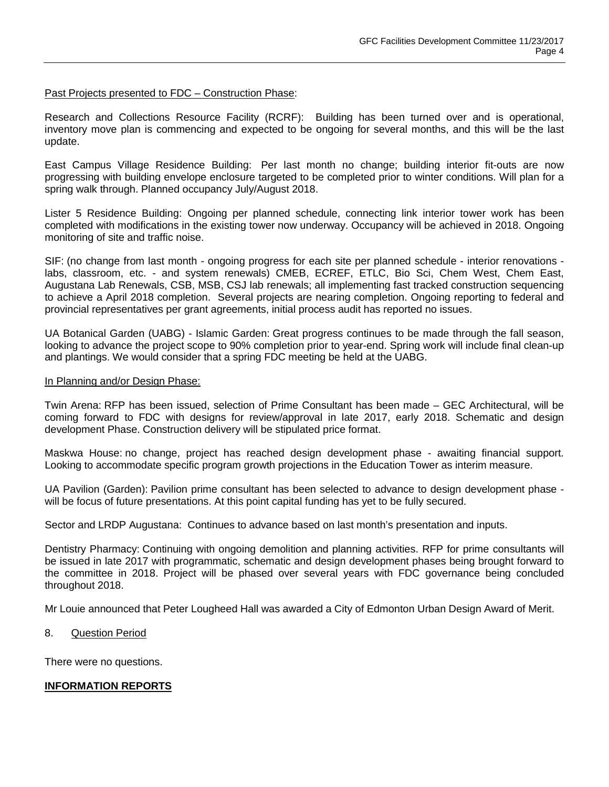#### Past Projects presented to FDC – Construction Phase:

Research and Collections Resource Facility (RCRF): Building has been turned over and is operational, inventory move plan is commencing and expected to be ongoing for several months, and this will be the last update.

East Campus Village Residence Building: Per last month no change; building interior fit-outs are now progressing with building envelope enclosure targeted to be completed prior to winter conditions. Will plan for a spring walk through. Planned occupancy July/August 2018.

Lister 5 Residence Building: Ongoing per planned schedule, connecting link interior tower work has been completed with modifications in the existing tower now underway. Occupancy will be achieved in 2018. Ongoing monitoring of site and traffic noise.

SIF: (no change from last month - ongoing progress for each site per planned schedule - interior renovations labs, classroom, etc. - and system renewals) CMEB, ECREF, ETLC, Bio Sci, Chem West, Chem East, Augustana Lab Renewals, CSB, MSB, CSJ lab renewals; all implementing fast tracked construction sequencing to achieve a April 2018 completion. Several projects are nearing completion. Ongoing reporting to federal and provincial representatives per grant agreements, initial process audit has reported no issues.

UA Botanical Garden (UABG) - Islamic Garden: Great progress continues to be made through the fall season, looking to advance the project scope to 90% completion prior to year-end. Spring work will include final clean-up and plantings. We would consider that a spring FDC meeting be held at the UABG.

#### In Planning and/or Design Phase:

Twin Arena: RFP has been issued, selection of Prime Consultant has been made – GEC Architectural, will be coming forward to FDC with designs for review/approval in late 2017, early 2018. Schematic and design development Phase. Construction delivery will be stipulated price format.

Maskwa House: no change, project has reached design development phase - awaiting financial support. Looking to accommodate specific program growth projections in the Education Tower as interim measure.

UA Pavilion (Garden): Pavilion prime consultant has been selected to advance to design development phase will be focus of future presentations. At this point capital funding has yet to be fully secured.

Sector and LRDP Augustana: Continues to advance based on last month's presentation and inputs.

Dentistry Pharmacy: Continuing with ongoing demolition and planning activities. RFP for prime consultants will be issued in late 2017 with programmatic, schematic and design development phases being brought forward to the committee in 2018. Project will be phased over several years with FDC governance being concluded throughout 2018.

Mr Louie announced that Peter Lougheed Hall was awarded a City of Edmonton Urban Design Award of Merit.

#### 8. Question Period

There were no questions.

## **INFORMATION REPORTS**